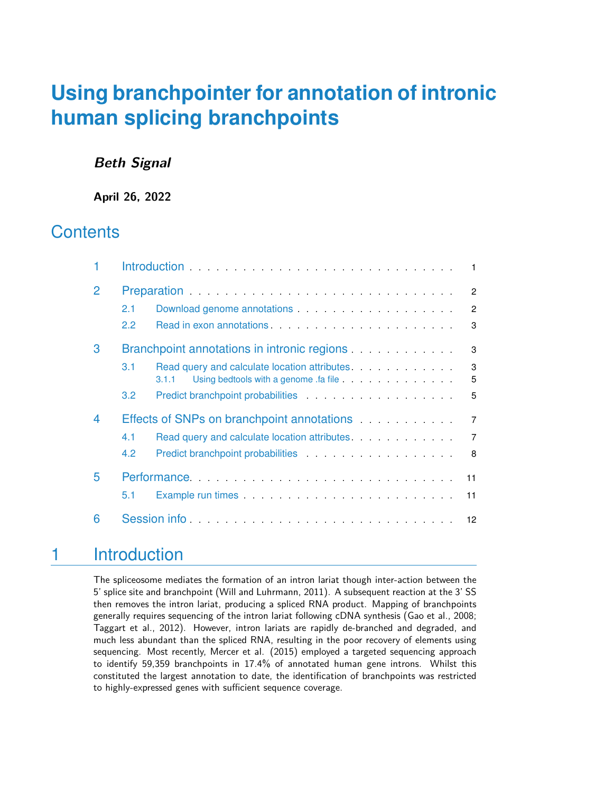## **Beth Signal**

**April 26, 2022**

## **Contents**

|   | $\blacksquare$                                                                                                                                                                                                                        |                |  |  |  |  |  |  |  |
|---|---------------------------------------------------------------------------------------------------------------------------------------------------------------------------------------------------------------------------------------|----------------|--|--|--|--|--|--|--|
| 2 | $\overline{2}$                                                                                                                                                                                                                        |                |  |  |  |  |  |  |  |
|   | 2.1                                                                                                                                                                                                                                   | $\mathcal{P}$  |  |  |  |  |  |  |  |
|   | Read in exon annotations.<br>$2.2^{\circ}$                                                                                                                                                                                            | 3              |  |  |  |  |  |  |  |
| 3 |                                                                                                                                                                                                                                       | 3              |  |  |  |  |  |  |  |
|   | Read query and calculate location attributes.<br>3.1                                                                                                                                                                                  | 3              |  |  |  |  |  |  |  |
|   | 3.1.1                                                                                                                                                                                                                                 | 5              |  |  |  |  |  |  |  |
|   | 3.2 <sub>2</sub>                                                                                                                                                                                                                      | 5              |  |  |  |  |  |  |  |
| 4 | Effects of SNPs on branchpoint annotations expressions and states and states are set of SNPs on branch annotations and states are set of SNPs on branch and SNPs and SNPs and SNPs and SNPs and SNPs and SNPs and SNPs and SNP        | $\overline{7}$ |  |  |  |  |  |  |  |
|   | Read query and calculate location attributes.<br>4.1                                                                                                                                                                                  | $\overline{7}$ |  |  |  |  |  |  |  |
|   | Predict branchpoint probabilities entertainment of the state of the state of the state of the state of the state of the state of the state of the state of the state of the state of the state of the state of the state of th<br>4.2 | 8              |  |  |  |  |  |  |  |
| 5 | Performance<br>11                                                                                                                                                                                                                     |                |  |  |  |  |  |  |  |
|   | 5.1<br>11                                                                                                                                                                                                                             |                |  |  |  |  |  |  |  |
| 6 | Session information and the contract of the set of the set of the set of the set of the set of the set of the<br>$12 \overline{ }$                                                                                                    |                |  |  |  |  |  |  |  |

## <span id="page-0-0"></span>1 Introduction

The spliceosome mediates the formation of an intron lariat though inter-action between the 5' splice site and branchpoint (Will and Luhrmann, 2011). A subsequent reaction at the 3' SS then removes the intron lariat, producing a spliced RNA product. Mapping of branchpoints generally requires sequencing of the intron lariat following cDNA synthesis (Gao et al., 2008; Taggart et al., 2012). However, intron lariats are rapidly de-branched and degraded, and much less abundant than the spliced RNA, resulting in the poor recovery of elements using sequencing. Most recently, Mercer et al. (2015) employed a targeted sequencing approach to identify 59,359 branchpoints in 17.4% of annotated human gene introns. Whilst this constituted the largest annotation to date, the identification of branchpoints was restricted to highly-expressed genes with sufficient sequence coverage.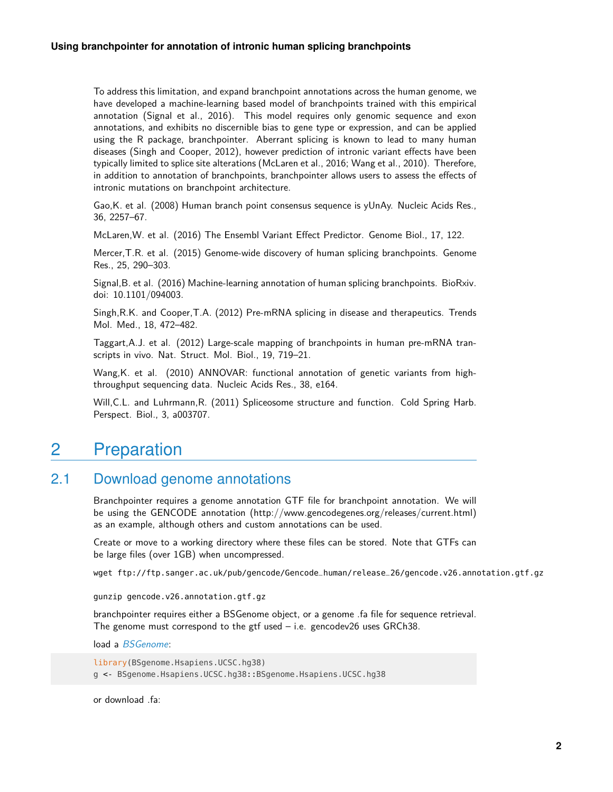To address this limitation, and expand branchpoint annotations across the human genome, we have developed a machine-learning based model of branchpoints trained with this empirical annotation (Signal et al., 2016). This model requires only genomic sequence and exon annotations, and exhibits no discernible bias to gene type or expression, and can be applied using the R package, branchpointer. Aberrant splicing is known to lead to many human diseases (Singh and Cooper, 2012), however prediction of intronic variant effects have been typically limited to splice site alterations (McLaren et al., 2016; Wang et al., 2010). Therefore, in addition to annotation of branchpoints, branchpointer allows users to assess the effects of intronic mutations on branchpoint architecture.

Gao,K. et al. (2008) Human branch point consensus sequence is yUnAy. Nucleic Acids Res., 36, 2257–67.

McLaren,W. et al. (2016) The Ensembl Variant Effect Predictor. Genome Biol., 17, 122.

Mercer,T.R. et al. (2015) Genome-wide discovery of human splicing branchpoints. Genome Res., 25, 290–303.

Signal,B. et al. (2016) Machine-learning annotation of human splicing branchpoints. BioRxiv. doi: 10.1101/094003.

Singh,R.K. and Cooper,T.A. (2012) Pre-mRNA splicing in disease and therapeutics. Trends Mol. Med., 18, 472–482.

Taggart,A.J. et al. (2012) Large-scale mapping of branchpoints in human pre-mRNA transcripts in vivo. Nat. Struct. Mol. Biol., 19, 719–21.

Wang,K. et al. (2010) ANNOVAR: functional annotation of genetic variants from highthroughput sequencing data. Nucleic Acids Res., 38, e164.

<span id="page-1-0"></span>Will,C.L. and Luhrmann,R. (2011) Spliceosome structure and function. Cold Spring Harb. Perspect. Biol., 3, a003707.

## 2 Preparation

### 2.1 Download genome annotations

<span id="page-1-1"></span>Branchpointer requires a genome annotation GTF file for branchpoint annotation. We will be using the GENCODE annotation (http://www.gencodegenes.org/releases/current.html) as an example, although others and custom annotations can be used.

Create or move to a working directory where these files can be stored. Note that GTFs can be large files (over 1GB) when uncompressed.

wget ftp://ftp.sanger.ac.uk/pub/gencode/Gencode\_human/release\_26/gencode.v26.annotation.gtf.gz

gunzip gencode.v26.annotation.gtf.gz

branchpointer requires either a BSGenome object, or a genome .fa file for sequence retrieval. The genome must correspond to the gtf used  $-$  i.e. gencodev26 uses GRCh38.

load a [BSGenome](http://bioconductor.org/packages/BSGenome):

library(BSgenome.Hsapiens.UCSC.hg38) g <- BSgenome.Hsapiens.UCSC.hg38::BSgenome.Hsapiens.UCSC.hg38

or download .fa: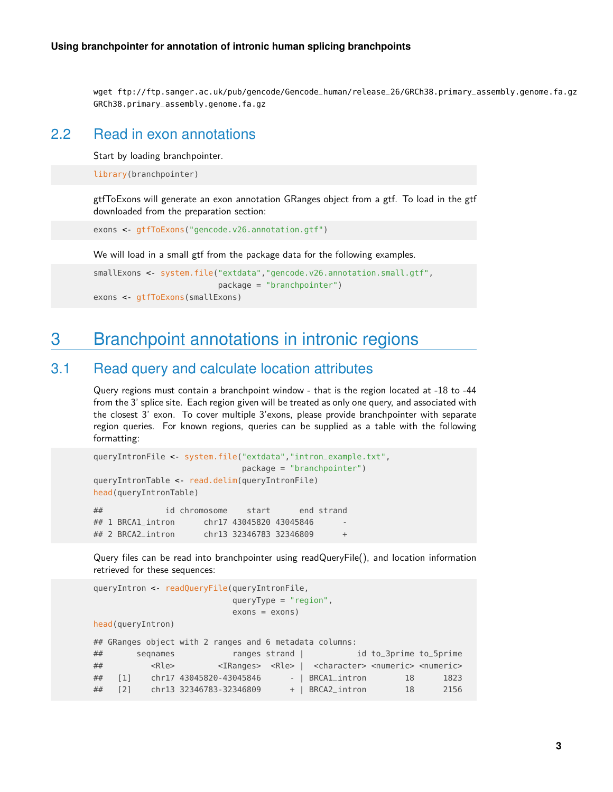<span id="page-2-0"></span>wget ftp://ftp.sanger.ac.uk/pub/gencode/Gencode\_human/release\_26/GRCh38.primary\_assembly.genome.fa.gz GRCh38.primary\_assembly.genome.fa.gz

### 2.2 Read in exon annotations

Start by loading branchpointer.

library(branchpointer)

gtfToExons will generate an exon annotation GRanges object from a gtf. To load in the gtf downloaded from the preparation section:

exons <- gtfToExons("gencode.v26.annotation.gtf")

We will load in a small gtf from the package data for the following examples.

```
smallExons <- system.file("extdata","gencode.v26.annotation.small.gtf",
                          package = "branchpointer")
exons <- gtfToExons(smallExons)
```
## 3 Branchpoint annotations in intronic regions

### 3.1 Read query and calculate location attributes

<span id="page-2-2"></span>Query regions must contain a branchpoint window - that is the region located at -18 to -44 from the 3' splice site. Each region given will be treated as only one query, and associated with the closest 3' exon. To cover multiple 3'exons, please provide branchpointer with separate region queries. For known regions, queries can be supplied as a table with the following formatting:

```
queryIntronFile <- system.file("extdata","intron_example.txt",
                            package = "branchpointer")
queryIntronTable <- read.delim(queryIntronFile)
head(queryIntronTable)
## id chromosome start end strand
## 1 BRCA1_intron chr17 43045820 43045846
## 2 BRCA2_intron chr13 32346783 32346809 +
```
Query files can be read into branchpointer using readQueryFile(), and location information retrieved for these sequences:

```
queryIntron <- readQueryFile(queryIntronFile,
                            queryType = "region",
                             exons = exons)head(queryIntron)
## GRanges object with 2 ranges and 6 metadata columns:
```

| ## |             | segnames    |                         | ranges strand |                                                                                                   | id to_3prime to_5prime |      |
|----|-------------|-------------|-------------------------|---------------|---------------------------------------------------------------------------------------------------|------------------------|------|
| ## |             | <rle></rle> |                         |               | <iranges> <rle>   <character> <numeric> <numeric></numeric></numeric></character></rle></iranges> |                        |      |
| ## | [1]         |             | chr17 43045820-43045846 |               | - BRCAl_intron                                                                                    | 18                     | 1823 |
| ## | $\sqrt{21}$ |             | chr13 32346783-32346809 |               | +   BRCA2_intron                                                                                  | 18                     | 2156 |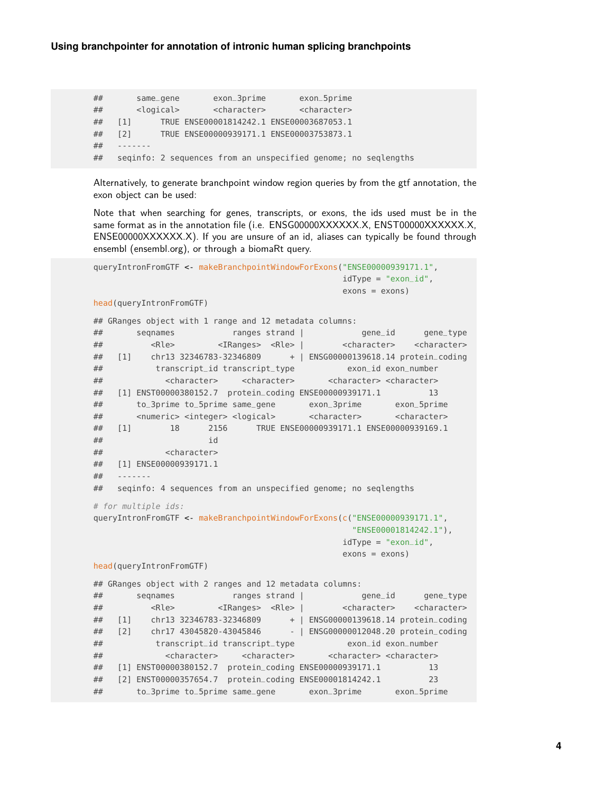## same\_gene exon\_3prime exon\_5prime ## <logical> <character> <character> ## [1] TRUE ENSE00001814242.1 ENSE00003687053.1 ## [2] TRUE ENSE00000939171.1 ENSE00003753873.1  $##$ ## seqinfo: 2 sequences from an unspecified genome; no seqlengths

Alternatively, to generate branchpoint window region queries by from the gtf annotation, the exon object can be used:

Note that when searching for genes, transcripts, or exons, the ids used must be in the same format as in the annotation file (i.e. ENSG00000XXXXXX.X, ENST00000XXXXXX.X, ENSE00000XXXXXX.X). If you are unsure of an id, aliases can typically be found through ensembl (ensembl.org), or through a biomaRt query.

```
queryIntronFromGTF <- makeBranchpointWindowForExons("ENSE00000939171.1",
                                          idType = "exon_id",exons = exons)head(queryIntronFromGTF)
## GRanges object with 1 range and 12 metadata columns:
## seqnames ranges strand | gene_id gene_type
## <Rle> <IRanges> <Rle> | <character> <character>
## [1] chr13 32346783-32346809 + | ENSG00000139618.14 protein_coding
## transcript_id transcript_type exon_id exon_number
## <character> <character> <character> <character>
## [1] ENST00000380152.7 protein_coding ENSE00000939171.1 13
## to_3prime to_5prime same_gene exon_3prime exon_5prime
## <numeric> <integer> <logical> <character> <character>
## [1] 18 2156 TRUE ENSE00000939171.1 ENSE00000939169.1
\# id
## <character>
## [1] ENSE00000939171.1
## -------
## seqinfo: 4 sequences from an unspecified genome; no seqlengths
# for multiple ids:
queryIntronFromGTF <- makeBranchpointWindowForExons(c("ENSE00000939171.1",
                                           "ENSE00001814242.1"),
                                          idType = "exon_id",exons = exons)head(queryIntronFromGTF)
## GRanges object with 2 ranges and 12 metadata columns:
## seqnames ranges strand | gene_id gene_type
## <Rle> <IRanges> <Rle> | <character> <character>
## [1] chr13 32346783-32346809 + | ENSG00000139618.14 protein_coding
## [2] chr17 43045820-43045846 - | ENSG00000012048.20 protein_coding
## transcript_id transcript_type exon_id exon_number
## <character> <character> <character> <character>
## [1] ENST00000380152.7 protein_coding ENSE00000939171.1 13
## [2] ENST00000357654.7 protein_coding ENSE00001814242.1 23
## to_3prime to_5prime same_gene exon_3prime exon_5prime
```
**4**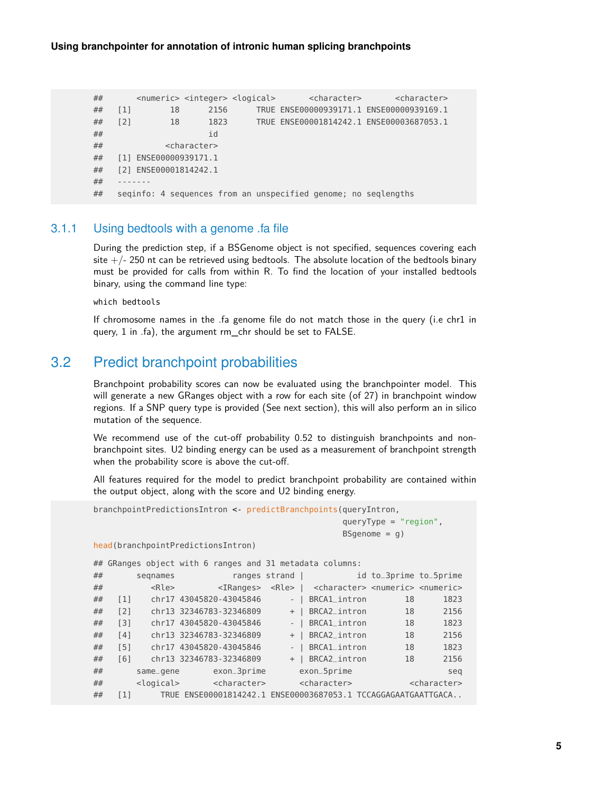```
## <numeric> <integer> <logical> <character> <character>
## [1] 18 2156 TRUE ENSE00000939171.1 ENSE00000939169.1
## [2] 18 1823 TRUE ENSE00001814242.1 ENSE00003687053.1
\# id
## <character>
## [1] ENSE00000939171.1
## [2] ENSE00001814242.1
#### seqinfo: 4 sequences from an unspecified genome; no seqlengths
```
#### 3.1.1 Using bedtools with a genome .fa file

<span id="page-4-0"></span>During the prediction step, if a BSGenome object is not specified, sequences covering each site  $+/-$  250 nt can be retrieved using bedtools. The absolute location of the bedtools binary must be provided for calls from within R. To find the location of your installed bedtools binary, using the command line type:

which bedtools

<span id="page-4-1"></span>If chromosome names in the .fa genome file do not match those in the query (i.e chr1 in query, 1 in .fa), the argument rm\_chr should be set to FALSE.

### 3.2 Predict branchpoint probabilities

Branchpoint probability scores can now be evaluated using the branchpointer model. This will generate a new GRanges object with a row for each site (of 27) in branchpoint window regions. If a SNP query type is provided (See next section), this will also perform an in silico mutation of the sequence.

We recommend use of the cut-off probability 0.52 to distinguish branchpoints and nonbranchpoint sites. U2 binding energy can be used as a measurement of branchpoint strength when the probability score is above the cut-off.

All features required for the model to predict branchpoint probability are contained within the output object, along with the score and U2 binding energy.

```
branchpointPredictionsIntron <- predictBranchpoints(queryIntron,
                                        queryType = "region",
                                        BSgenome = q)
head(branchpointPredictionsIntron)
## GRanges object with 6 ranges and 31 metadata columns:
## seqnames ranges strand | id to_3prime to_5prime
## <Rle> <IRanges> <Rle> | <character> <numeric> <numeric>
## [1] chr17 43045820-43045846 - | BRCA1_intron 18 1823
## [2] chr13 32346783-32346809 + | BRCA2_intron 18 2156
## [3] chr17 43045820-43045846 - | BRCA1_intron 18 1823
## [4] chr13 32346783-32346809 + | BRCA2_intron 18 2156
## [5] chr17 43045820-43045846 - | BRCA1_intron 18 1823
## [6] chr13 32346783-32346809 + | BRCA2_intron 18 2156
## same_gene exon_3prime exon_5prime seq
## <logical> <character> <character> <character>
## [1] TRUE ENSE00001814242.1 ENSE00003687053.1 TCCAGGAGAATGAATTGACA..
```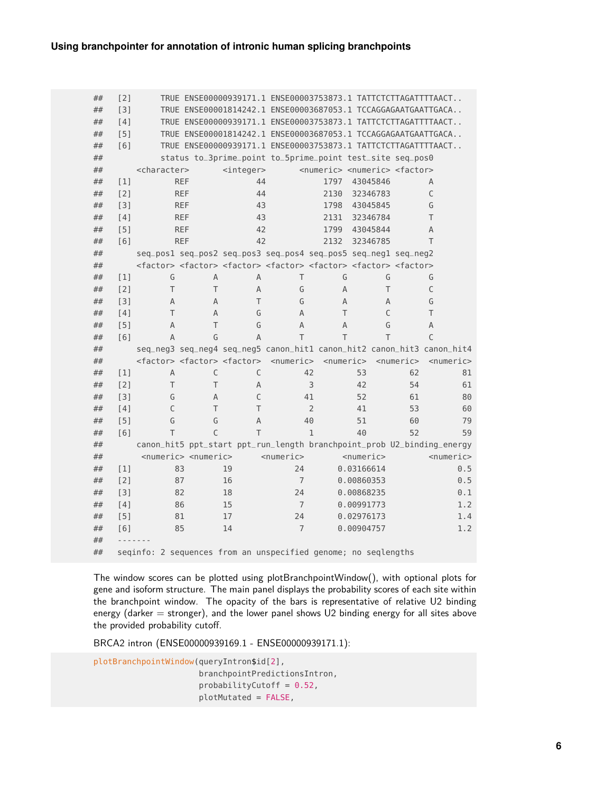| ## | $[2]$             |                                                                |                                         | TRUE ENSE00000939171.1 ENSE00003753873.1 TATTCTCTTAGATTTTAACT                                                                 |                 |                 |                                                           |                 |                 |     |
|----|-------------------|----------------------------------------------------------------|-----------------------------------------|-------------------------------------------------------------------------------------------------------------------------------|-----------------|-----------------|-----------------------------------------------------------|-----------------|-----------------|-----|
| ## | [3]               |                                                                |                                         | TRUE ENSE00001814242.1 ENSE00003687053.1 TCCAGGAGAATGAATTGACA                                                                 |                 |                 |                                                           |                 |                 |     |
| ## | [4]               |                                                                |                                         | TRUE ENSE00000939171.1 ENSE00003753873.1 TATTCTCTTAGATTTTAACT                                                                 |                 |                 |                                                           |                 |                 |     |
| ## | [5]               |                                                                |                                         | TRUE ENSE00001814242.1 ENSE00003687053.1 TCCAGGAGAATGAATTGACA                                                                 |                 |                 |                                                           |                 |                 |     |
| ## | [6]               |                                                                |                                         | TRUE ENSE00000939171.1 ENSE00003753873.1 TATTCTCTTAGATTTTAACT                                                                 |                 |                 |                                                           |                 |                 |     |
| ## |                   |                                                                |                                         | status to_3prime_point to_5prime_point test_site seq_pos0                                                                     |                 |                 |                                                           |                 |                 |     |
| ## |                   | <character></character>                                        |                                         | $integer$                                                                                                                     |                 |                 | <numeric> <numeric> <factor></factor></numeric></numeric> |                 |                 |     |
| ## | [1]               |                                                                | <b>REF</b>                              | 44                                                                                                                            |                 | 1797            | 43045846                                                  |                 | A               |     |
| ## | $[2]$             |                                                                | <b>REF</b>                              | 44                                                                                                                            |                 | 2130            | 32346783                                                  |                 | C               |     |
| ## | $[3]$             |                                                                | <b>REF</b>                              | 43                                                                                                                            |                 | 1798            | 43045845                                                  |                 | G               |     |
| ## | [4]               |                                                                | <b>REF</b>                              | 43                                                                                                                            |                 | 2131            | 32346784                                                  |                 | T               |     |
| ## | [5]               |                                                                | <b>REF</b>                              | 42                                                                                                                            |                 | 1799            | 43045844                                                  |                 | A               |     |
| ## | [6]               |                                                                | <b>REF</b>                              | 42                                                                                                                            |                 | 2132            | 32346785                                                  |                 | T               |     |
| ## |                   |                                                                |                                         | seq_pos1 seq_pos2 seq_pos3 seq_pos4 seq_pos5 seq_neg1 seq_neg2                                                                |                 |                 |                                                           |                 |                 |     |
| ## |                   |                                                                |                                         | <factor> <factor> <factor> <factor> <factor> <factor> <factor></factor></factor></factor></factor></factor></factor></factor> |                 |                 |                                                           |                 |                 |     |
| ## | $\lceil 1 \rceil$ | G                                                              | A                                       | A                                                                                                                             | T               | G               | G                                                         |                 | G               |     |
| ## | [2]               | T                                                              | T                                       | A                                                                                                                             | G               | A               | T                                                         |                 | C               |     |
| ## | $[3]$             | A                                                              | A                                       | T                                                                                                                             | G               | A               | A                                                         |                 | G               |     |
| ## | [4]               | Τ                                                              | A                                       | G                                                                                                                             | A               | T               | C                                                         |                 | T               |     |
| ## | [5]               | A                                                              | T                                       | G                                                                                                                             | A               | A               | G                                                         |                 | A               |     |
| ## | [6]               | A                                                              | G                                       | А                                                                                                                             | T               | T               | T                                                         |                 | $\mathcal{C}$   |     |
| ## |                   |                                                                |                                         | seq_neg3 seq_neg4 seq_neg5 canon_hit1 canon_hit2 canon_hit3 canon_hit4                                                        |                 |                 |                                                           |                 |                 |     |
| ## |                   |                                                                |                                         | <factor> <factor> <factor> <numeric></numeric></factor></factor></factor>                                                     |                 | $<$ numeric $>$ |                                                           | $<$ numeric $>$ | $<$ numeric $>$ |     |
| ## | $\lceil 1 \rceil$ | A                                                              | C                                       | C                                                                                                                             |                 | 42              | 53                                                        | 62              |                 | 81  |
| ## | $[2]$             | Τ                                                              | T                                       | A                                                                                                                             |                 | 3               | 42                                                        | 54              |                 | 61  |
| ## | $[3]$             | G                                                              | A                                       | C                                                                                                                             |                 | 41              | 52                                                        | 61              |                 | 80  |
| ## | [4]               | $\mathsf{C}$                                                   | T                                       | T                                                                                                                             |                 | $\overline{2}$  | 41                                                        | 53              |                 | 60  |
| ## | [5]               | G                                                              | G                                       | A                                                                                                                             |                 | 40              | 51                                                        | 60              |                 | 79  |
| ## | [6]               | T                                                              | $\mathsf{C}$                            | T                                                                                                                             |                 | $\mathbf{1}$    | 40                                                        | 52              |                 | 59  |
| ## |                   |                                                                |                                         | canon_hit5 ppt_start ppt_run_length branchpoint_prob U2_binding_energy                                                        |                 |                 |                                                           |                 |                 |     |
| ## |                   |                                                                | <numeric> <numeric></numeric></numeric> |                                                                                                                               | $<$ numeric $>$ |                 | $<$ numeric $>$                                           |                 | $<$ numeric $>$ |     |
| ## | $[1]$             |                                                                | 83                                      | 19                                                                                                                            | 24              |                 | 0.03166614                                                |                 |                 | 0.5 |
| ## | $[2]$             |                                                                | 87                                      | 16                                                                                                                            | $\overline{7}$  |                 | 0.00860353                                                |                 |                 | 0.5 |
| ## | $[3]$             |                                                                | 82                                      | 18                                                                                                                            | 24              |                 | 0.00868235                                                |                 |                 | 0.1 |
| ## | [4]               |                                                                | 86                                      | 15                                                                                                                            | $\overline{7}$  |                 | 0.00991773                                                |                 |                 | 1.2 |
| ## | [5]               |                                                                | 81                                      | 17                                                                                                                            | 24              |                 | 0.02976173                                                |                 |                 | 1.4 |
| ## | [6]               |                                                                | 85                                      | 14                                                                                                                            | $\overline{7}$  |                 | 0.00904757                                                |                 |                 | 1.2 |
| ## |                   |                                                                |                                         |                                                                                                                               |                 |                 |                                                           |                 |                 |     |
| ## |                   | seqinfo: 2 sequences from an unspecified genome; no seqlengths |                                         |                                                                                                                               |                 |                 |                                                           |                 |                 |     |

The window scores can be plotted using plotBranchpointWindow(), with optional plots for gene and isoform structure. The main panel displays the probability scores of each site within the branchpoint window. The opacity of the bars is representative of relative U2 binding energy (darker  $=$  stronger), and the lower panel shows U2 binding energy for all sites above the provided probability cutoff.

BRCA2 intron (ENSE00000939169.1 - ENSE00000939171.1):

plotBranchpointWindow(queryIntron\$id[2], branchpointPredictionsIntron, probabilityCutoff =  $0.52$ , plotMutated = FALSE,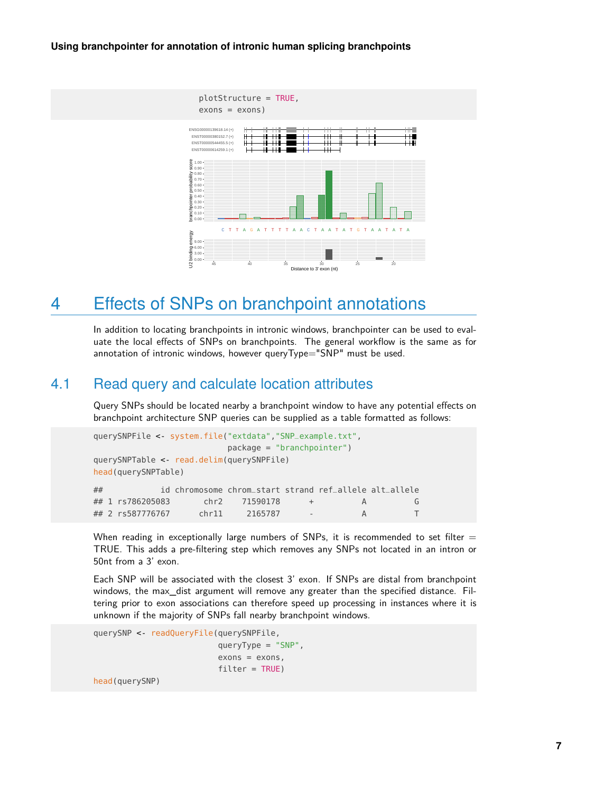

## <span id="page-6-0"></span>4 Effects of SNPs on branchpoint annotations

<span id="page-6-1"></span>In addition to locating branchpoints in intronic windows, branchpointer can be used to evaluate the local effects of SNPs on branchpoints. The general workflow is the same as for annotation of intronic windows, however queryType="SNP" must be used.

### 4.1 Read query and calculate location attributes

Query SNPs should be located nearby a branchpoint window to have any potential effects on branchpoint architecture SNP queries can be supplied as a table formatted as follows:

```
querySNPFile <- system.file("extdata","SNP_example.txt",
                      package = "branchpointer")
querySNPTable <- read.delim(querySNPFile)
head(querySNPTable)
## id chromosome chrom_start strand ref_allele alt_allele
## 1 rs786205083 chr2 71590178 + A G
## 2 rs587776767 chr11 2165787 - A T
```
When reading in exceptionally large numbers of SNPs, it is recommended to set filter  $=$ TRUE. This adds a pre-filtering step which removes any SNPs not located in an intron or 50nt from a 3' exon.

Each SNP will be associated with the closest 3' exon. If SNPs are distal from branchpoint windows, the max\_dist argument will remove any greater than the specified distance. Filtering prior to exon associations can therefore speed up processing in instances where it is unknown if the majority of SNPs fall nearby branchpoint windows.

```
querySNP <- readQueryFile(querySNPFile,
                          queryType = "SNP",
                          exons = exons,filter = TRUE)
```
head(querySNP)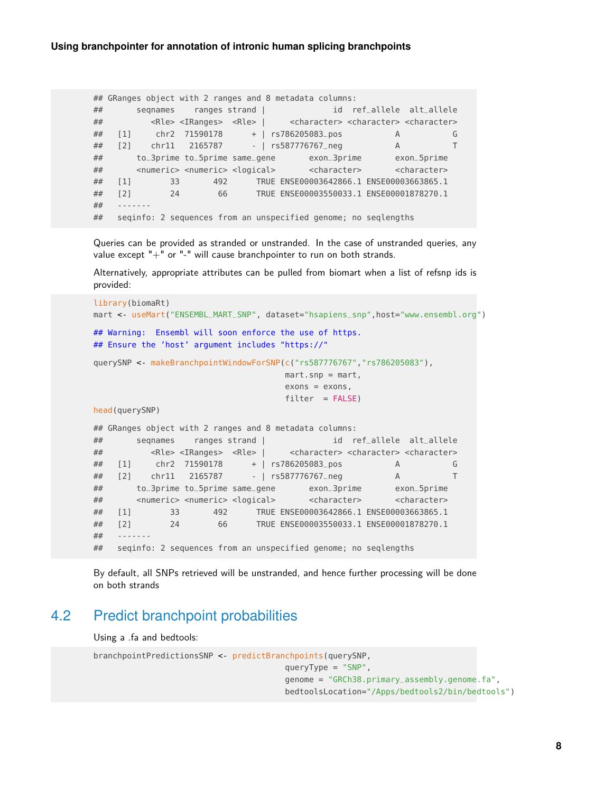```
## GRanges object with 2 ranges and 8 metadata columns:
## seqnames ranges strand | id ref_allele alt_allele
## <Rle> <IRanges> <Rle> | <character> <character> <character>
## [1] chr2 71590178 + | rs786205083_pos A G
## [2] chr11 2165787 - | rs587776767_neg A T
## to_3prime to_5prime same_gene exon_3prime exon_5prime
## <numeric> <numeric> <logical> <character> <character>
## [1] 33 492 TRUE ENSE00003642866.1 ENSE00003663865.1
## [2] 24 66 TRUE ENSE00003550033.1 ENSE00001878270.1
## -------
## seqinfo: 2 sequences from an unspecified genome; no seqlengths
```
Queries can be provided as stranded or unstranded. In the case of unstranded queries, any value except  $" +"$  or  $" -"$  will cause branchpointer to run on both strands.

Alternatively, appropriate attributes can be pulled from biomart when a list of refsnp ids is provided:

```
library(biomaRt)
mart <- useMart("ENSEMBL_MART_SNP", dataset="hsapiens_snp",host="www.ensembl.org")
## Warning: Ensembl will soon enforce the use of https.
## Ensure the 'host' argument includes "https://"
querySNP <- makeBranchpointWindowForSNP(c("rs587776767","rs786205083"),
                                 mart.snp = mart,exons = exons,
                                 filter = FALSE)head(querySNP)
## GRanges object with 2 ranges and 8 metadata columns:
## seqnames ranges strand | id ref_allele alt_allele
## <Rle> <IRanges> <Rle> | <character> <character> <character>
## [1] chr2 71590178 + | rs786205083_pos A G
## [2] chr11 2165787 - | rs587776767_neg A T
## to_3prime to_5prime same_gene exon_3prime exon_5prime
## <numeric> <numeric> <logical> <character> <character>
## [1] 33 492 TRUE ENSE00003642866.1 ENSE00003663865.1
## [2] 24 66 TRUE ENSE00003550033.1 ENSE00001878270.1
#### seqinfo: 2 sequences from an unspecified genome; no seqlengths
```
<span id="page-7-0"></span>By default, all SNPs retrieved will be unstranded, and hence further processing will be done on both strands

## 4.2 Predict branchpoint probabilities

Using a .fa and bedtools:

```
branchpointPredictionsSNP <- predictBranchpoints(querySNP,
                                        queryType = "SNP",
                                        genome = "GRCh38.primary_assembly.genome.fa",
                                        bedtoolsLocation="/Apps/bedtools2/bin/bedtools")
```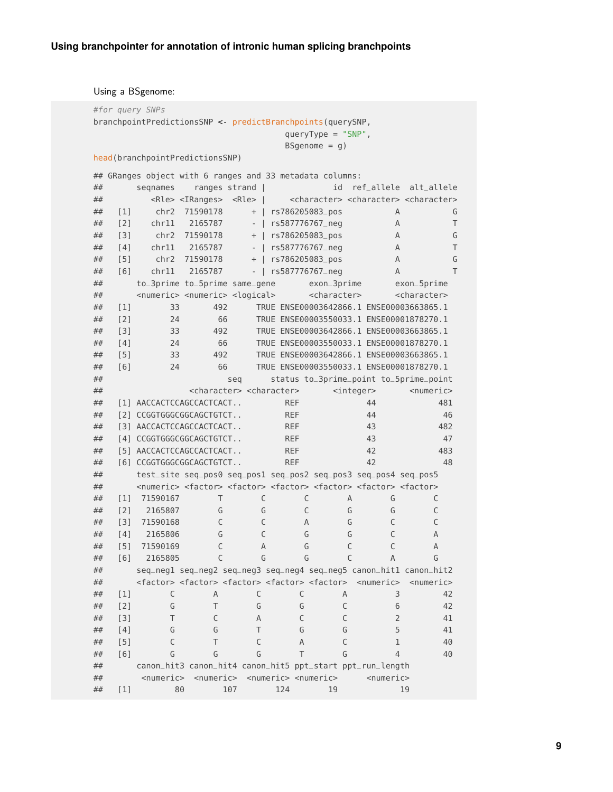Using a BSgenome:

| #for query SNPs                                           |                   |                                                                                                                                 |                                                 |                                       |     |                                         |                         |                 |                                                                         |
|-----------------------------------------------------------|-------------------|---------------------------------------------------------------------------------------------------------------------------------|-------------------------------------------------|---------------------------------------|-----|-----------------------------------------|-------------------------|-----------------|-------------------------------------------------------------------------|
| branchpointPredictionsSNP < predictBranchpoints(querySNP, |                   |                                                                                                                                 |                                                 |                                       |     |                                         |                         |                 |                                                                         |
|                                                           |                   |                                                                                                                                 |                                                 |                                       |     |                                         | $queryType = "SNP",$    |                 |                                                                         |
|                                                           |                   |                                                                                                                                 |                                                 |                                       |     | BSgenome = $g$ )                        |                         |                 |                                                                         |
|                                                           |                   | head(branchpointPredictionsSNP)                                                                                                 |                                                 |                                       |     |                                         |                         |                 |                                                                         |
|                                                           |                   | ## GRanges object with 6 ranges and 33 metadata columns:                                                                        |                                                 |                                       |     |                                         |                         |                 |                                                                         |
| ##                                                        |                   | segnames                                                                                                                        | ranges strand                                   |                                       |     |                                         | id                      |                 | ref_allele alt_allele                                                   |
| ##                                                        |                   |                                                                                                                                 | <rle> <iranges></iranges></rle>                 | <rle><br/>-1</rle>                    |     |                                         |                         |                 | <character> <character> <character></character></character></character> |
| ##                                                        | $\lceil 1 \rceil$ | chr2                                                                                                                            | 71590178                                        | $\ddot{}$                             |     | rs786205083_pos                         |                         | A               | G                                                                       |
| ##                                                        | [2]               | chr11                                                                                                                           | 2165787                                         | $\overline{\phantom{a}}$              |     | rs587776767_neg                         |                         | A               | T                                                                       |
| ##                                                        | [3]               | chr2                                                                                                                            | 71590178                                        | $\! +$                                |     | rs786205083_pos                         |                         | A               | G                                                                       |
| ##                                                        | [4]               |                                                                                                                                 | chr11 2165787                                   | $\bigcup$<br>$\overline{\phantom{a}}$ |     | rs587776767_neg                         |                         | A               | T                                                                       |
| ##                                                        | [5]               |                                                                                                                                 | chr2 71590178                                   | $\! +$<br>$\mathbf{I}$                |     | rs786205083_pos                         |                         | A               | G                                                                       |
| ##                                                        | [6]               | chr11                                                                                                                           | 2165787                                         | $\overline{1}$<br>$\blacksquare$      |     | rs587776767_neg                         |                         | A               | T                                                                       |
| ##                                                        |                   | to_3prime to_5prime same_gene                                                                                                   |                                                 |                                       |     |                                         | exon_3prime             |                 | exon_5prime                                                             |
| ##                                                        |                   | <numeric> <numeric> <logical></logical></numeric></numeric>                                                                     |                                                 |                                       |     |                                         | <character></character> |                 | <character></character>                                                 |
| ##                                                        | [1]               | 33                                                                                                                              | 492                                             |                                       |     |                                         |                         |                 | TRUE ENSE00003642866.1 ENSE00003663865.1                                |
| ##                                                        | [2]               | 24                                                                                                                              | 66                                              |                                       |     |                                         |                         |                 | TRUE ENSE00003550033.1 ENSE00001878270.1                                |
| ##                                                        | [3]               | 33                                                                                                                              | 492                                             |                                       |     |                                         |                         |                 | TRUE ENSE00003642866.1 ENSE00003663865.1                                |
| ##                                                        | [4]               | 24                                                                                                                              | 66                                              |                                       |     |                                         |                         |                 | TRUE ENSE00003550033.1 ENSE00001878270.1                                |
| ##                                                        | [5]               | 33                                                                                                                              | 492                                             |                                       |     |                                         |                         |                 | TRUE ENSE00003642866.1 ENSE00003663865.1                                |
| ##                                                        | [6]               | 24                                                                                                                              | 66                                              |                                       |     |                                         |                         |                 | TRUE ENSE00003550033.1 ENSE00001878270.1                                |
| ##                                                        |                   |                                                                                                                                 |                                                 | seq                                   |     |                                         |                         |                 | status to_3prime_point to_5prime_point                                  |
| ##                                                        |                   |                                                                                                                                 | <character> <character></character></character> |                                       |     |                                         | $integer$               |                 | $<$ numeric $>$                                                         |
| ##                                                        |                   | [1] AACCACTCCAGCCACTCACT                                                                                                        |                                                 |                                       |     | <b>REF</b>                              |                         | 44              | 481                                                                     |
| ##                                                        |                   | [2] CCGGTGGGCGGCAGCTGTCT                                                                                                        |                                                 |                                       |     | <b>REF</b>                              |                         | 44              | 46                                                                      |
| ##                                                        |                   | [3] AACCACTCCAGCCACTCACT                                                                                                        |                                                 |                                       |     | <b>REF</b>                              |                         | 43              | 482                                                                     |
| ##                                                        |                   | [4] CCGGTGGGCGGCAGCTGTCT                                                                                                        |                                                 |                                       |     | <b>REF</b>                              |                         | 43              | 47                                                                      |
| ##                                                        |                   | [5] AACCACTCCAGCCACTCACT                                                                                                        |                                                 |                                       |     | <b>REF</b>                              |                         | 42              | 483                                                                     |
| ##                                                        |                   | [6] CCGGTGGGCGGCAGCTGTCT                                                                                                        |                                                 |                                       |     | <b>REF</b>                              |                         | 42              | 48                                                                      |
| ##                                                        |                   | test_site seq_pos0 seq_pos1 seq_pos2 seq_pos3 seq_pos4 seq_pos5                                                                 |                                                 |                                       |     |                                         |                         |                 |                                                                         |
| ##                                                        |                   | <numeric> <factor> <factor> <factor> <factor> <factor> <factor></factor></factor></factor></factor></factor></factor></numeric> |                                                 |                                       |     |                                         |                         |                 |                                                                         |
| ##                                                        | [1]               | 71590167                                                                                                                        | T                                               | С                                     |     | $\mathsf C$                             | A                       | G               | С                                                                       |
| ##                                                        | $\lceil 2 \rceil$ | 2165807                                                                                                                         | G                                               | G                                     |     | C                                       | G                       | G               | $\mathsf{C}$                                                            |
| ##                                                        | $\lceil 3 \rceil$ | 71590168                                                                                                                        | C                                               | C                                     |     | A                                       | G                       | $\mathsf{C}$    | $\mathsf{C}$                                                            |
| ##                                                        | [4]               | 2165806                                                                                                                         | G                                               | C                                     |     | G                                       | G                       | $\mathsf{C}$    | Α                                                                       |
| ##                                                        | [5]               | 71590169                                                                                                                        | $\mathsf{C}$                                    | A                                     |     | G                                       | $\mathsf{C}$            | $\mathsf{C}$    | A                                                                       |
| ##                                                        | [6]               | 2165805                                                                                                                         | C                                               |                                       | G   | G                                       | C                       | Α               | G                                                                       |
| ##                                                        |                   |                                                                                                                                 |                                                 |                                       |     |                                         |                         |                 | seq_negl seq_neg2 seq_neg3 seq_neg4 seq_neg5 canon_hit1 canon_hit2      |
| ##                                                        |                   | <factor> <factor> <factor> <factor> <factor> <mumeric></mumeric></factor></factor></factor></factor></factor>                   |                                                 |                                       |     |                                         |                         |                 | $<$ numeric $>$                                                         |
| ##                                                        | $[1]$             | С                                                                                                                               | A                                               | C                                     |     | C                                       | A                       | 3               | 42                                                                      |
| ##                                                        | $[2]$             | G                                                                                                                               | T                                               | G                                     |     | G                                       | C                       | 6               | 42                                                                      |
| ##                                                        | $[3]$             | T                                                                                                                               | C                                               | Α                                     |     | C                                       | C                       | $\overline{2}$  | 41                                                                      |
| ##                                                        | [4]               | G                                                                                                                               | G                                               | T                                     |     | G                                       | G                       | 5               | 41                                                                      |
| ##                                                        | [5]               | C                                                                                                                               | T                                               | C                                     |     | A                                       | C                       | 1               | 40                                                                      |
| ##                                                        | [6]               | G                                                                                                                               | G                                               | G                                     |     | T                                       | G                       | $\overline{4}$  | 40                                                                      |
| ##                                                        |                   | canon_hit3 canon_hit4 canon_hit5 ppt_start ppt_run_length                                                                       |                                                 |                                       |     |                                         |                         |                 |                                                                         |
| ##                                                        |                   | $<$ numeric $>$                                                                                                                 | <numeric></numeric>                             |                                       |     | <numeric> <numeric></numeric></numeric> |                         | $<$ numeric $>$ |                                                                         |
| ##                                                        | $[1]$             | 80                                                                                                                              |                                                 | 107                                   | 124 |                                         | 19                      |                 | 19                                                                      |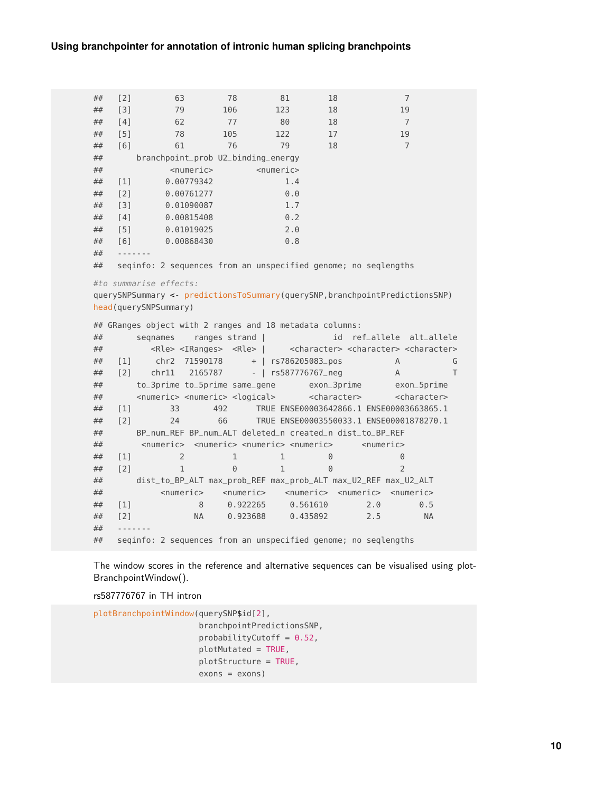## [2] 63 78 81 18 7 ## [3] 79 106 123 18 19 ## [4] 62 77 80 18 7 ## [5] 78 105 122 17 19 ## [6] 61 76 79 18 7 ## branchpoint\_prob U2\_binding\_energy ## <numeric> <numeric> ## [1] 0.00779342 1.4 ## [2] 0.00761277 0.0 ## [3] 0.01090087 1.7 ## [4] 0.00815408 0.2 ## [5] 0.01019025 2.0 ## [6] 0.00868430 0.8  $\# \#$ ## seqinfo: 2 sequences from an unspecified genome; no seqlengths #to summarise effects: querySNPSummary <- predictionsToSummary(querySNP,branchpointPredictionsSNP) head(querySNPSummary) ## GRanges object with 2 ranges and 18 metadata columns: ## seqnames ranges strand | id ref\_allele alt\_allele ## <Rle> <IRanges> <Rle> | <character> <character> <character> ## [1] chr2 71590178 + | rs786205083\_pos A G ## [2] chr11 2165787 - | rs587776767\_neg A T ## to\_3prime to\_5prime same\_gene exon\_3prime exon\_5prime ## <numeric> <numeric> <logical> <character> <character> ## [1] 33 492 TRUE ENSE00003642866.1 ENSE00003663865.1 ## [2] 24 66 TRUE ENSE00003550033.1 ENSE00001878270.1 ## BP\_num\_REF BP\_num\_ALT deleted\_n created\_n dist\_to\_BP\_REF ## <numeric> <numeric> <numeric> <numeric> <numeric> ## [1] 2 1 1 0 ## [2] 1 0 1 ## dist\_to\_BP\_ALT max\_prob\_REF max\_prob\_ALT max\_U2\_REF max\_U2\_ALT ## <numeric> <numeric> <numeric> <numeric> <numeric> ## [1] 8 0.922265 0.561610 2.0 0.5 ## [2] NA 0.923688 0.435892 2.5 NA  $##$ ## seqinfo: 2 sequences from an unspecified genome; no seqlengths

The window scores in the reference and alternative sequences can be visualised using plot-BranchpointWindow().

rs587776767 in TH intron

```
plotBranchpointWindow(querySNP$id[2],
                      branchpointPredictionsSNP,
                      probabilityCutoff = 0.52,
                      plotMutated = TRUE,
                      plotStructure = TRUE,
                      exons = exons)
```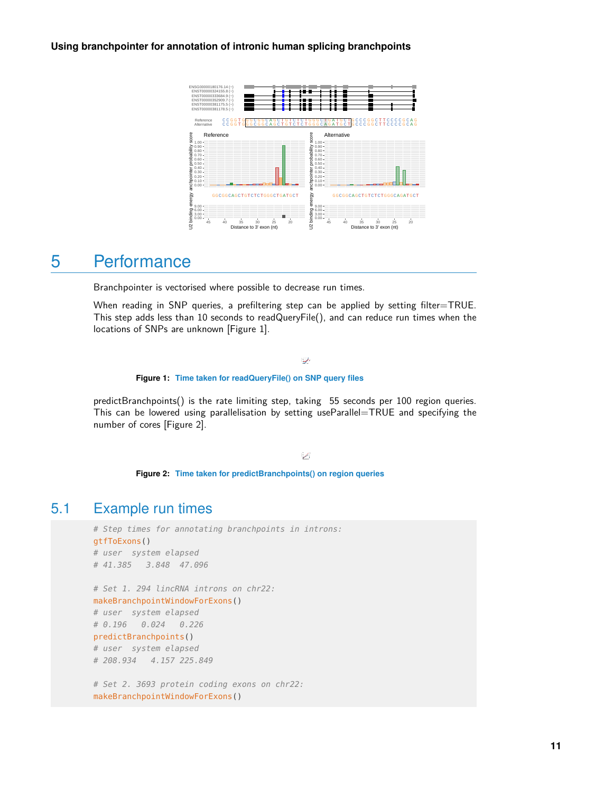

## <span id="page-10-0"></span>5 Performance

Branchpointer is vectorised where possible to decrease run times.

When reading in SNP queries, a prefiltering step can be applied by setting filter=TRUE. This step adds less than 10 seconds to readQueryFile(), and can reduce run times when the locations of SNPs are unknown [Figure 1].

#### المحيط المستشفى

**Figure 1: Time taken for readQueryFile() on SNP query files**

predictBranchpoints() is the rate limiting step, taking 55 seconds per 100 region queries. This can be lowered using parallelisation by setting useParallel=TRUE and specifying the number of cores [Figure 2].

 $\blacktriangleright$ 

**Figure 2: Time taken for predictBranchpoints() on region queries**

### 5.1 Example run times

```
# Step times for annotating branchpoints in introns:
gtfToExons()
# user system elapsed
# 41.385 3.848 47.096
```

```
# Set 1. 294 lincRNA introns on chr22:
makeBranchpointWindowForExons()
# user system elapsed
# 0.196 0.024 0.226
predictBranchpoints()
# user system elapsed
# 208.934 4.157 225.849
```
# Set 2. 3693 protein coding exons on chr22: makeBranchpointWindowForExons()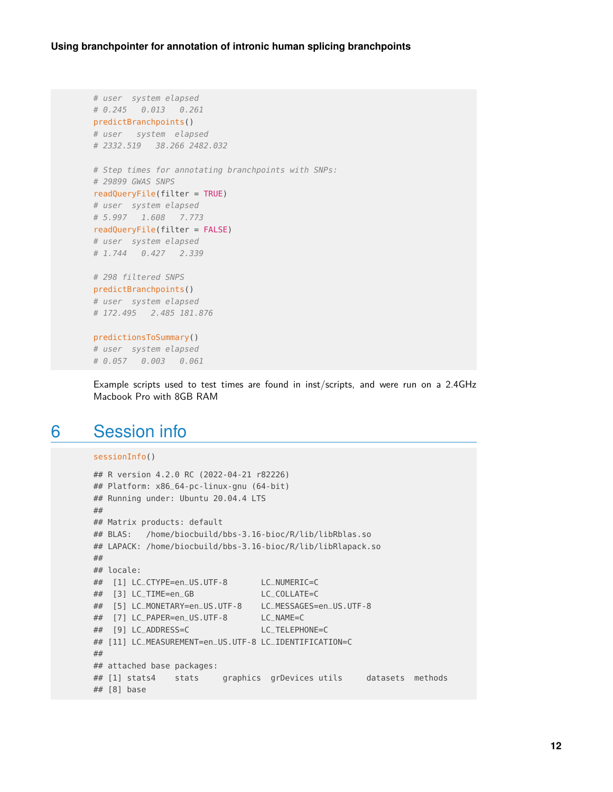```
# user system elapsed
# 0.245 0.013 0.261
predictBranchpoints()
# user system elapsed
# 2332.519 38.266 2482.032
# Step times for annotating branchpoints with SNPs:
# 29899 GWAS SNPS
readQueryFile(filter = TRUE)
# user system elapsed
# 5.997 1.608 7.773
readQueryFile(filter = FALSE)
# user system elapsed
# 1.744 0.427 2.339
# 298 filtered SNPS
predictBranchpoints()
# user system elapsed
# 172.495 2.485 181.876
predictionsToSummary()
# user system elapsed
# 0.057 0.003 0.061
```
<span id="page-11-0"></span>Example scripts used to test times are found in inst/scripts, and were run on a 2.4GHz Macbook Pro with 8GB RAM

## 6 Session info

```
sessionInfo()
## R version 4.2.0 RC (2022-04-21 r82226)
## Platform: x86_64-pc-linux-gnu (64-bit)
## Running under: Ubuntu 20.04.4 LTS
##
## Matrix products: default
## BLAS: /home/biocbuild/bbs-3.16-bioc/R/lib/libRblas.so
## LAPACK: /home/biocbuild/bbs-3.16-bioc/R/lib/libRlapack.so
##
## locale:
## [1] LC_CTYPE=en_US.UTF-8 LC_NUMERIC=C
## [3] LC_TIME=en_GB LC_COLLATE=C
## [5] LC_MONETARY=en_US.UTF-8 LC_MESSAGES=en_US.UTF-8
## [7] LC_PAPER=en_US.UTF-8 LC_NAME=C
## [9] LC_ADDRESS=C LC_TELEPHONE=C
## [11] LC_MEASUREMENT=en_US.UTF-8 LC_IDENTIFICATION=C
##
## attached base packages:
## [1] stats4 stats graphics grDevices utils datasets methods
## [8] base
```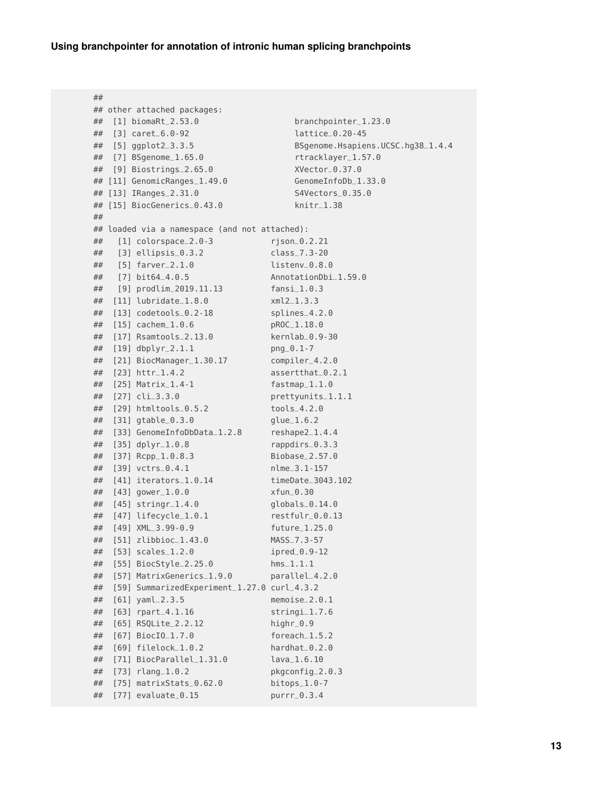```
##
## other attached packages:
## [1] biomaRt_2.53.0 branchpointer_1.23.0
## [3] caret_6.0-92 lattice_0.20-45
## [5] ggplot2_3.3.5 BSgenome.Hsapiens.UCSC.hg38_1.4.4
## [7] BSgenome_1.65.0 rtracklayer_1.57.0
## [9] Biostrings_2.65.0 XVector_0.37.0
## [11] GenomicRanges_1.49.0 GenomeInfoDb_1.33.0
## [13] IRanges_2.31.0 S4Vectors_0.35.0
## [15] BiocGenerics_0.43.0 knitr_1.38
##
## loaded via a namespace (and not attached):
## [1] colorspace_2.0-3 rjson_0.2.21
## [3] ellipsis_0.3.2 class_7.3-20
## [5] farver_2.1.0 listenv_0.8.0
## [7] bit64_4.0.5 AnnotationDbi_1.59.0
## [9] prodlim_2019.11.13 fansi_1.0.3
## [11] lubridate_1.8.0 xml2_1.3.3
## [13] codetools_0.2-18 splines_4.2.0
## [15] cachem_1.0.6 pROC_1.18.0
## [17] Rsamtools_2.13.0 kernlab_0.9-30
## [19] dbplyr_2.1.1 png_0.1-7
## [21] BiocManager_1.30.17 compiler_4.2.0
## [23] httr_1.4.2 assertthat_0.2.1
## [25] Matrix_1.4-1 fastmap_1.1.0
## [27] cli_3.3.0 prettyunits_1.1.1
## [29] htmltools_0.5.2 tools_4.2.0
## [31] gtable_0.3.0 glue_1.6.2
## [33] GenomeInfoDbData_1.2.8 reshape2_1.4.4
## [35] dplyr_1.0.8 rappdirs_0.3.3
## [37] Rcpp_1.0.8.3 Biobase_2.57.0
## [39] vctrs_0.4.1 nlme_3.1-157
## [41] iterators_1.0.14 timeDate_3043.102
## [43] gower_1.0.0 xfun_0.30
## [45] stringr_1.4.0 globals_0.14.0
## [47] lifecycle_1.0.1 restfulr_0.0.13
## [49] XML_3.99-0.9 future_1.25.0
## [51] zlibbioc_1.43.0 MASS_7.3-57
## [53] scales_1.2.0 ipred_0.9-12
## [55] BiocStyle_2.25.0 hms_1.1.1
## [57] MatrixGenerics_1.9.0 parallel_4.2.0
## [59] SummarizedExperiment_1.27.0 curl_4.3.2
## [61] yaml_2.3.5 memoise_2.0.1
## [63] rpart_4.1.16 stringi_1.7.6
## [65] RSQLite_2.2.12 highr_0.9
## [67] BiocIO_1.7.0 foreach_1.5.2
## [69] filelock_1.0.2 hardhat_0.2.0
## [71] BiocParallel_1.31.0 lava_1.6.10
## [73] rlang_1.0.2 pkgconfig_2.0.3
## [75] matrixStats_0.62.0 bitops_1.0-7
## [77] evaluate_0.15 purrr_0.3.4
```